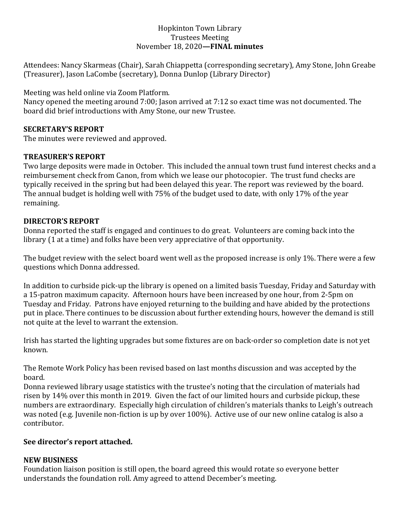# Hopkinton Town Library Trustees Meeting November 18, 2020**—FINAL minutes**

Attendees: Nancy Skarmeas (Chair), Sarah Chiappetta (corresponding secretary), Amy Stone, John Greabe (Treasurer), Jason LaCombe (secretary), Donna Dunlop (Library Director)

Meeting was held online via Zoom Platform.

Nancy opened the meeting around 7:00; Jason arrived at 7:12 so exact time was not documented. The board did brief introductions with Amy Stone, our new Trustee.

# **SECRETARY'S REPORT**

The minutes were reviewed and approved.

# **TREASURER'S REPORT**

Two large deposits were made in October. This included the annual town trust fund interest checks and a reimbursement check from Canon, from which we lease our photocopier. The trust fund checks are typically received in the spring but had been delayed this year. The report was reviewed by the board. The annual budget is holding well with 75% of the budget used to date, with only 17% of the year remaining.

# **DIRECTOR'S REPORT**

Donna reported the staff is engaged and continues to do great. Volunteers are coming back into the library (1 at a time) and folks have been very appreciative of that opportunity.

The budget review with the select board went well as the proposed increase is only 1%. There were a few questions which Donna addressed.

In addition to curbside pick-up the library is opened on a limited basis Tuesday, Friday and Saturday with a 15-patron maximum capacity. Afternoon hours have been increased by one hour, from 2-5pm on Tuesday and Friday. Patrons have enjoyed returning to the building and have abided by the protections put in place. There continues to be discussion about further extending hours, however the demand is still not quite at the level to warrant the extension.

Irish has started the lighting upgrades but some fixtures are on back-order so completion date is not yet known.

The Remote Work Policy has been revised based on last months discussion and was accepted by the board.

Donna reviewed library usage statistics with the trustee's noting that the circulation of materials had risen by 14% over this month in 2019. Given the fact of our limited hours and curbside pickup, these numbers are extraordinary. Especially high circulation of children's materials thanks to Leigh's outreach was noted (e.g. Juvenile non-fiction is up by over 100%). Active use of our new online catalog is also a contributor.

### **See director's report attached.**

### **NEW BUSINESS**

Foundation liaison position is still open, the board agreed this would rotate so everyone better understands the foundation roll. Amy agreed to attend December's meeting.